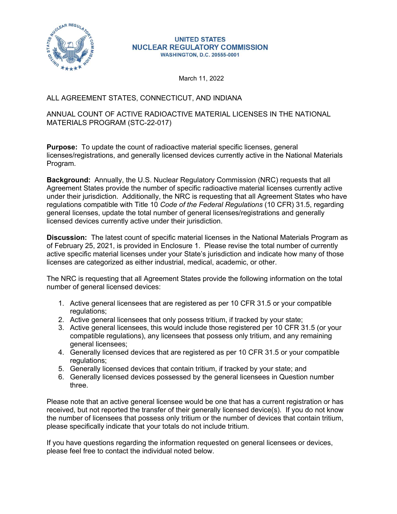

#### **UNITED STATES NUCLEAR REGULATORY COMMISSION WASHINGTON, D.C. 20555-0001**

March 11, 2022

## ALL AGREEMENT STATES, CONNECTICUT, AND INDIANA

## ANNUAL COUNT OF ACTIVE RADIOACTIVE MATERIAL LICENSES IN THE NATIONAL MATERIALS PROGRAM (STC-22-017)

**Purpose:** To update the count of radioactive material specific licenses, general licenses/registrations, and generally licensed devices currently active in the National Materials Program.

Background: Annually, the U.S. Nuclear Regulatory Commission (NRC) requests that all Agreement States provide the number of specific radioactive material licenses currently active under their jurisdiction. Additionally, the NRC is requesting that all Agreement States who have regulations compatible with Title 10 Code of the Federal Regulations (10 CFR) 31.5, regarding general licenses, update the total number of general licenses/registrations and generally licensed devices currently active under their jurisdiction. **pose:** To update the count of radioactive material specific licenses, general<br>ses/registrations, and generally licensed devices currently active in the National Materials<br>gram.<br>
<br> **Exprement States provide the number of s** ses/registrations, and generally licensed devices currently active in the National Materials<br>gram.<br>
2. Active Communically, the U.S. Nuclear Regulatory Commission (NRC) requests that all<br>
everement States provide the numbe gram.<br>
Subsequent: States provide the number of specific radioactive material licenses currently active<br>
er their jurisdiction. Additionally, the NRC is requesting that all Agreement States who have<br>
derticleristic provide eement States provide the number of specific radioactive material licenses currently active<br>ere their jurisdiction. Additionally, the NRC is requesting that all Agreement States who have<br>lations compatible with Title 10 Co

Discussion: The latest count of specific material licenses in the National Materials Program as of February 25, 2021, is provided in Enclosure 1. Please revise the total number of currently active specific material licenses under your State's jurisdiction and indicate how many of those licenses are categorized as either industrial, medical, academic, or other. Unitions compatible with Title 10 *Code of the Federal Regulations* (10 CFR) 31.5, regarding<br>eral licenses, update the total number of general licenses/registrations and generally<br>sisted devices currently active under thei eral licenses, update the total number of general licenses/registrations and generally<br>
stead devices currently active under their jurisdiction.<br>
steads in the National Materials Program as<br>
ebruary 25, 2021, is provided i

The NRC is requesting that all Agreement States provide the following information on the total number of general licensed devices:

- regulations:
- 
- compatible regulations), any licensees that possess only tritium, and any remaining general licensees;
- regulations;
- 
- three.

Please note that an active general licensee would be one that has a current registration or has received, but not reported the transfer of their generally licensed device(s). If you do not know the number of licensees that possess only tritium or the number of devices that contain tritium, please specifically indicate that your totals do not include tritium.

If you have questions regarding the information requested on general licensees or devices, please feel free to contact the individual noted below.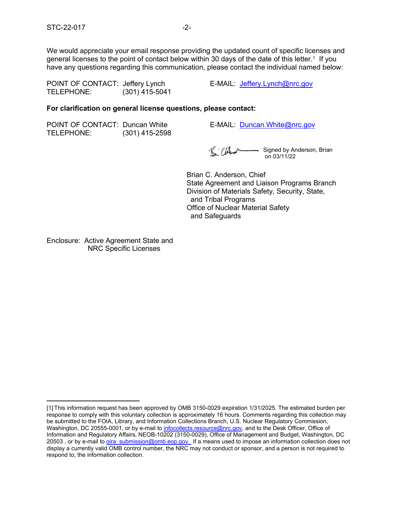STC-22-017<br>We would appreciate your email response providing the updated count of specific licenses and<br>general licenses to the point of contact below within 30 days of the date of this letter.<sup>1</sup> If you<br>have any questions We would appreciate your email response providing the updated count of specific licenses and general licenses to the point of contact below within 30 days of the date of this letter. $^\text{1}$  If you have any questions regarding this communication, please contact the individual named below: STC-22-017<br>
We would appreciate your email response providing the updated count of specific licenses and<br>
general licenses to the point of contact below within 30 days of the date of this letter.<sup>1</sup> If you<br>
have any questi STC-22-017<br>
We would appreciate your email response providing the updated count of specific licenses<br>
general licenses to the point of contact below within 30 days of the date of this letter.<sup>1</sup> If y<br>
have any questions re STC-22-017<br>
We would appreciate your email response providing the updated count of specific licenses<br>
the persion of the point of contact below within 30 days of the date of this letter.<sup>1</sup> If y<br>
have any questions regard

### For clarification on general license questions, please contact:

| POINT OF CONTACT: Duncan White |                  |
|--------------------------------|------------------|
| TELEPHONE:                     | $(301)$ 415-2598 |

E-MAIL: Duncan.White@nrc.gov

**Signed by Anderson, Brian** on 03/11/22

Brian C. Anderson, Chief State Agreement and Liaison Programs Branch Division of Materials Safety, Security, State, and Tribal Programs Office of Nuclear Material Safety and Safeguards

Enclosure: Active Agreement State and NRC Specific Licenses

Enclosure: Active Agreement State and<br>
NRC Specific Licenses<br>
Til This information request has been approved by OMB 3150-0029 expiration 1/31/2025. The estimated burden per<br>
response to comply with this voluntary collectio response to comply with this voluntary collection is approximately 16 hours. Comments regarding this collection may be submitted to the FOIA, Library, and Information Collections Branch, U.S. Nuclear Regulatory Commission, Washington, DC 20555-0001, or by e-mail to infocollects.resource@nrc.gov, and to the Desk Officer, Office of Information and Regulatory Affairs, NEOB-10202 (3150-0029), Office of Management and Budget, Washington, DC 20503 , or by e-mail to <u>oira\_submission@omb.eop.gov.</u> If a means used to impose an information collection does not display a currently valid OMB control number, the NRC may not conduct or sponsor, and a person is not required to respond to, the information collection.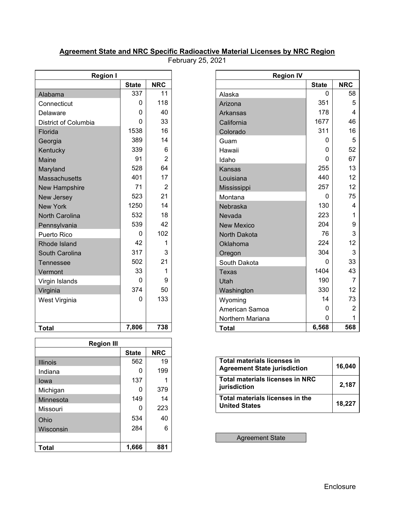# Agreement State and NRC Specific Radioactive Material Licenses by NRC Region

February 25, 2021

| <b>Region I</b>       |              |                |  |  |  |  |  |  |  |
|-----------------------|--------------|----------------|--|--|--|--|--|--|--|
|                       | <b>State</b> | <b>NRC</b>     |  |  |  |  |  |  |  |
| Alabama               | 337          | 11             |  |  |  |  |  |  |  |
| Connecticut           | 0            | 118            |  |  |  |  |  |  |  |
| Delaware              | 0            | 40             |  |  |  |  |  |  |  |
| District of Columbia  | 0            | 33             |  |  |  |  |  |  |  |
| Florida               | 1538         | 16             |  |  |  |  |  |  |  |
| Georgia               | 389          | 14             |  |  |  |  |  |  |  |
| Kentucky              | 339          | 6              |  |  |  |  |  |  |  |
| <b>Maine</b>          | 91           | $\overline{2}$ |  |  |  |  |  |  |  |
| Maryland              | 528          | 64             |  |  |  |  |  |  |  |
| <b>Massachusetts</b>  | 401          | 17             |  |  |  |  |  |  |  |
| <b>New Hampshire</b>  | 71           | 2              |  |  |  |  |  |  |  |
| New Jersey            | 523          | 21             |  |  |  |  |  |  |  |
| <b>New York</b>       | 1250         | 14             |  |  |  |  |  |  |  |
| <b>North Carolina</b> | 532          | 18             |  |  |  |  |  |  |  |
| Pennsylvania          | 539          | 42             |  |  |  |  |  |  |  |
| <b>Puerto Rico</b>    | 0            | 102            |  |  |  |  |  |  |  |
| Rhode Island          | 42           | 1              |  |  |  |  |  |  |  |
| South Carolina        | 317          | 3              |  |  |  |  |  |  |  |
| Tennessee             | 502          | 21             |  |  |  |  |  |  |  |
| Vermont               | 33           | 1              |  |  |  |  |  |  |  |
| Virgin Islands        | 0            | 9              |  |  |  |  |  |  |  |
| Virginia              | 374          | 50             |  |  |  |  |  |  |  |
| West Virginia         | 0            | 133            |  |  |  |  |  |  |  |
|                       |              |                |  |  |  |  |  |  |  |
| Total                 | 7,806        | 738            |  |  |  |  |  |  |  |

| 50<br>374<br>330<br>12<br>Washington<br>133<br>73<br>14<br>0<br>West Virginia<br>Wyoming<br>$\overline{2}$<br>0<br>American Samoa<br>$\mathbf{0}$<br>Northern Mariana<br>7,806<br>738<br>6,568<br>568<br><b>Total</b><br><b>Region III</b><br><b>NRC</b><br><b>State</b><br><b>Total materials licenses in</b><br>19<br>562<br>16,040<br><b>Agreement State jurisdiction</b><br>199<br>0<br><b>Total materials licenses in NRC</b><br>137<br>2,187<br>jurisdiction<br>379<br>0<br>Michigan<br>Total materials licenses in the<br>149<br>14<br>Minnesota<br>18,227<br><b>United States</b><br>223<br>0<br>40<br>534 |
|--------------------------------------------------------------------------------------------------------------------------------------------------------------------------------------------------------------------------------------------------------------------------------------------------------------------------------------------------------------------------------------------------------------------------------------------------------------------------------------------------------------------------------------------------------------------------------------------------------------------|
|                                                                                                                                                                                                                                                                                                                                                                                                                                                                                                                                                                                                                    |
|                                                                                                                                                                                                                                                                                                                                                                                                                                                                                                                                                                                                                    |
|                                                                                                                                                                                                                                                                                                                                                                                                                                                                                                                                                                                                                    |
|                                                                                                                                                                                                                                                                                                                                                                                                                                                                                                                                                                                                                    |
|                                                                                                                                                                                                                                                                                                                                                                                                                                                                                                                                                                                                                    |
|                                                                                                                                                                                                                                                                                                                                                                                                                                                                                                                                                                                                                    |
|                                                                                                                                                                                                                                                                                                                                                                                                                                                                                                                                                                                                                    |
|                                                                                                                                                                                                                                                                                                                                                                                                                                                                                                                                                                                                                    |
|                                                                                                                                                                                                                                                                                                                                                                                                                                                                                                                                                                                                                    |
|                                                                                                                                                                                                                                                                                                                                                                                                                                                                                                                                                                                                                    |
|                                                                                                                                                                                                                                                                                                                                                                                                                                                                                                                                                                                                                    |
|                                                                                                                                                                                                                                                                                                                                                                                                                                                                                                                                                                                                                    |
|                                                                                                                                                                                                                                                                                                                                                                                                                                                                                                                                                                                                                    |
|                                                                                                                                                                                                                                                                                                                                                                                                                                                                                                                                                                                                                    |
|                                                                                                                                                                                                                                                                                                                                                                                                                                                                                                                                                                                                                    |
| 6<br>284<br>Wisconsin                                                                                                                                                                                                                                                                                                                                                                                                                                                                                                                                                                                              |
| <b>Agreement State</b>                                                                                                                                                                                                                                                                                                                                                                                                                                                                                                                                                                                             |
| 1,666<br>881                                                                                                                                                                                                                                                                                                                                                                                                                                                                                                                                                                                                       |
|                                                                                                                                                                                                                                                                                                                                                                                                                                                                                                                                                                                                                    |

| <b>Region I</b>      |              |                      |
|----------------------|--------------|----------------------|
|                      | <b>State</b> | <b>NRC</b>           |
| Alabama              | 337          | 11                   |
| Connecticut          | 0            | 118                  |
| Delaware             | 0            | 40                   |
| District of Columbia | 0            | 33                   |
| Florida              | 1538         | 16                   |
| Georgia              | 389          | 14                   |
| Kentucky             | 339          | 6                    |
| Maine                | 91           | $\overline{2}$       |
| Maryland             | 528          | 64                   |
| <b>Massachusetts</b> | 401          | 17                   |
| <b>New Hampshire</b> | 71           | $\overline{2}$       |
| New Jersey           | 523          | 21                   |
| <b>New York</b>      | 1250         | 14                   |
| North Carolina       | 532          | 18                   |
| Pennsylvania         | 539          | 42                   |
| Puerto Rico          | $\mathbf 0$  | 102                  |
| Rhode Island         | 42           | -1                   |
| South Carolina       | 317          | 3                    |
| <b>Tennessee</b>     | 502          | 21                   |
| Vermont              | 33           | 1                    |
| Virgin Islands       | 0            | 9                    |
| Virginia             | 374          | 50                   |
| West Virginia        | $\mathbf{0}$ | 133                  |
|                      |              |                      |
|                      |              |                      |
| <b>Total</b>         | 7,806        | 738                  |
|                      |              |                      |
| <b>Region III</b>    |              |                      |
|                      | <b>State</b> | <b>NRC</b>           |
| <b>Illinois</b>      | 562          | 19<br>$\overline{1}$ |

| Total materials licenses in<br><b>Agreement State jurisdiction</b> | 16,040 |
|--------------------------------------------------------------------|--------|
| Total materials licenses in NRC<br>jurisdiction                    | 2.187  |
| Total materials licenses in the<br><b>United States</b>            | 18,227 |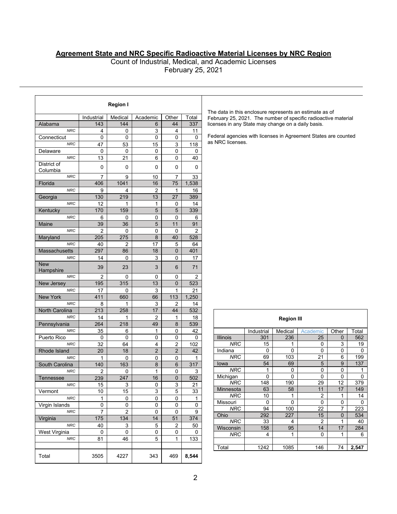### Agreement State and NRC Specific Radioactive Material Licenses by NRC Region

|                              |                                    |                       |                         |                                  |                       | <b>Agreement State and NRC Specific Radioactive Material Licenses by NRC Region</b><br>Count of Industrial, Medical, and Academic Licenses |                                 |                    |                               |                    |                                 |  |
|------------------------------|------------------------------------|-----------------------|-------------------------|----------------------------------|-----------------------|--------------------------------------------------------------------------------------------------------------------------------------------|---------------------------------|--------------------|-------------------------------|--------------------|---------------------------------|--|
|                              |                                    |                       |                         |                                  | February 25, 2021     |                                                                                                                                            |                                 |                    |                               |                    |                                 |  |
|                              |                                    |                       |                         |                                  |                       |                                                                                                                                            |                                 |                    |                               |                    |                                 |  |
|                              |                                    |                       |                         |                                  |                       |                                                                                                                                            |                                 |                    |                               |                    |                                 |  |
|                              |                                    | <b>Region I</b>       |                         |                                  |                       |                                                                                                                                            |                                 |                    |                               |                    |                                 |  |
|                              | Industrial                         | Medical               | Academic                | Other                            | Total                 | The data in this enclosure represents an estimate as of<br>February 25, 2021. The number of specific radioactive material                  |                                 |                    |                               |                    |                                 |  |
| Alabama                      | 143                                | 144                   | 6                       | 44                               | 337                   | licenses in any State may change on a daily basis.                                                                                         |                                 |                    |                               |                    |                                 |  |
| <b>NRC</b><br>Connecticut    | 4<br>0                             | 0<br>0                | 3<br>0                  | 4<br>$\mathbf 0$                 | 11<br>$\Omega$        | Federal agencies with licenses in Agreement States are counted                                                                             |                                 |                    |                               |                    |                                 |  |
| <b>NRC</b><br>Delaware       | 47<br>0                            | 53<br>0               | 15<br>0                 | 3<br>0                           | 118<br>0              | as NRC licenses.                                                                                                                           |                                 |                    |                               |                    |                                 |  |
| <b>NRC</b>                   | 13                                 | 21                    | 6                       | $\mathbf 0$                      | 40                    |                                                                                                                                            |                                 |                    |                               |                    |                                 |  |
| District of<br>Columbia      | 0                                  | 0                     | 0                       | 0                                | 0                     |                                                                                                                                            |                                 |                    |                               |                    |                                 |  |
| <b>NRC</b><br>Florida        | $\overline{7}$<br>406              | 9<br>1041             | 10<br>16                | $\overline{7}$<br>75             | 33<br>1,538           |                                                                                                                                            |                                 |                    |                               |                    |                                 |  |
| <b>NRC</b>                   | 9                                  | 4                     | 2                       | $\mathbf{1}$                     | 16                    |                                                                                                                                            |                                 |                    |                               |                    |                                 |  |
| Georgia<br><b>NRC</b>        | 130<br>12                          | 219<br>$\mathbf{1}$   | 13<br>$\mathbf{1}$      | 27<br>$\mathbf 0$                | 389<br>14             |                                                                                                                                            |                                 |                    |                               |                    |                                 |  |
| Kentucky<br><b>NRC</b>       | 170<br>6                           | 159<br>0              | 5<br>0                  | $\mathbf 5$<br>$\mathbf 0$       | 339<br>6              |                                                                                                                                            |                                 |                    |                               |                    |                                 |  |
| Maine                        | 39                                 | 36                    | 5                       | 11                               | 91                    |                                                                                                                                            |                                 |                    |                               |                    |                                 |  |
| <b>NRC</b><br>Maryland       | $\overline{2}$<br>$\overline{205}$ | 0<br>$\overline{275}$ | 0<br>8                  | 0<br>40                          | 2<br>528              |                                                                                                                                            |                                 |                    |                               |                    |                                 |  |
| <b>NRC</b><br>Massachusetts  | 40<br>297                          | $\overline{2}$<br>86  | 17<br>18                | 5<br>$\mathbf 0$                 | 64<br>401             |                                                                                                                                            |                                 |                    |                               |                    |                                 |  |
| <b>NRC</b>                   | 14                                 | 0                     | 3                       | $\mathbf 0$                      | 17                    |                                                                                                                                            |                                 |                    |                               |                    |                                 |  |
| <b>New</b><br>Hampshire      | 39                                 | 23                    | $\mathfrak{S}$          | $6\phantom{1}$                   | 71                    |                                                                                                                                            |                                 |                    |                               |                    |                                 |  |
| <b>NRC</b><br>New Jersey     | $\overline{2}$<br>195              | 0<br>315              | 0<br>13                 | 0<br>0                           | $\overline{2}$<br>523 |                                                                                                                                            |                                 |                    |                               |                    |                                 |  |
| <b>NRC</b>                   | 17                                 | 0                     | 3                       | $\mathbf{1}$                     | 21                    |                                                                                                                                            |                                 |                    |                               |                    |                                 |  |
| New York<br><b>NRC</b>       | 411<br>8                           | 660<br>$\mathbf{1}$   | 66<br>3                 | 113<br>$\overline{2}$            | 1,250<br>14           |                                                                                                                                            |                                 |                    |                               |                    |                                 |  |
| North Carolina<br><b>NRC</b> | 213<br>14                          | 258<br>$\mathbf{1}$   | $17$<br>$\overline{2}$  | 44<br>$\mathbf{1}$               | 532<br>18             |                                                                                                                                            |                                 |                    |                               |                    |                                 |  |
| Pennsylvania                 | 264                                | 218                   | 49                      | 8                                | 539                   |                                                                                                                                            |                                 | <b>Region III</b>  |                               |                    |                                 |  |
| <b>NRC</b><br>Puerto Rico    | 35<br>0                            | 6<br>0                | 1<br>0                  | 0<br>0                           | 42<br>0               | Illinois                                                                                                                                   | Industrial<br>301               | Medical<br>236     | Academic<br>25                | Other<br>0         | Total<br>562                    |  |
| <b>NRC</b><br>Rhode Island   | 32<br>20                           | 64<br>18              | 4<br>$\overline{2}$     | $\overline{c}$<br>$\overline{2}$ | 102<br>42             | <b>NRC</b><br>Indiana                                                                                                                      | 15<br>0                         | $\mathbf{1}$<br>0  | $\mathsf 0$<br>0              | 3<br>0             | 19<br>0                         |  |
| <b>NRC</b>                   | $\mathbf{1}$                       | 0                     | 0                       | $\mathbf 0$                      | $\mathbf{1}$          | <b>NRC</b>                                                                                                                                 | 69                              | 103                | 21                            | 6                  | 199                             |  |
| South Carolina<br><b>NRC</b> | 140<br>$\overline{\mathbf{c}}$     | 163<br>0              | $\bf 8$<br>$\mathbf{1}$ | $\,6\,$<br>$\mathbf 0$           | 317<br>3              | lowa<br><b>NRC</b>                                                                                                                         | $\overline{54}$<br>$\mathbf{1}$ | 69<br>0            | $\sqrt{5}$<br>0               | 9<br>0             | $\frac{137}{1}$<br>$\mathbf{1}$ |  |
| Tennessee<br><b>NRC</b>      | 239<br>15                          | 247<br>3              | 16<br>0                 | $\mathbf 0$<br>3                 | 502<br>21             | Michigan<br><b>NRC</b>                                                                                                                     | 0<br>148                        | 0<br>190           | 0<br>29                       | 0<br>12            | $\mathbf 0$<br>379              |  |
| Vermont                      | 10                                 | $\overline{15}$       | 3                       | 5                                | 33                    | Minnesota<br><b>NRC</b>                                                                                                                    | 63<br>10                        | 58<br>$\mathbf{1}$ | 11<br>$\overline{\mathbf{c}}$ | 17<br>$\mathbf{1}$ | 149<br>14                       |  |
| <b>NRC</b><br>Virgin Islands | $\mathbf{1}$<br>0                  | 0<br>0                | 0<br>0                  | 0<br>0                           | $\mathbf{1}$<br>0     | Missouri                                                                                                                                   | $\mathbf 0$                     | 0                  | 0                             | 0                  | 0                               |  |
| <b>NRC</b><br>Virginia       | $\overline{7}$<br>175              | $\overline{c}$<br>134 | 0<br>14                 | 0<br>51                          | 9<br>374              | <b>NRC</b><br>Ohio                                                                                                                         | 94<br>292                       | 100<br>227         | 22<br>15                      | 7<br>$\mathbf 0$   | 223<br>534                      |  |
| <b>NRC</b>                   | 40                                 | 3                     | 5                       | $\overline{2}$                   | 50                    | <b>NRC</b><br>Wisconsin                                                                                                                    | 33<br>158                       | 4<br>95            | $\overline{2}$<br>$14$        | $\mathbf{1}$<br>17 | 40<br>284                       |  |
| West Virginia<br><b>NRC</b>  | 0<br>81                            | 0<br>46               | 0<br>5                  | 0<br>$\mathbf{1}$                | 0<br>133              | <b>NRC</b>                                                                                                                                 | 4                               | $\mathbf{1}$       | 0                             | $\mathbf{1}$       | 6                               |  |
|                              |                                    |                       |                         |                                  |                       |                                                                                                                                            |                                 |                    |                               |                    |                                 |  |
|                              |                                    |                       |                         |                                  |                       | Total                                                                                                                                      | 1242                            | 1085               | 146                           | 74                 | 2,547                           |  |

|                        |                      | <b>Region III</b>             |                                           |                                  |                                  |
|------------------------|----------------------|-------------------------------|-------------------------------------------|----------------------------------|----------------------------------|
|                        |                      |                               |                                           |                                  |                                  |
| <b>Illinois</b>        | Industrial<br>301    | Medical<br>$\overline{236}$   | Academic<br>$\overline{25}$               | Other<br>$\overline{\mathbf{0}}$ | Total<br>562                     |
|                        |                      |                               |                                           |                                  |                                  |
|                        |                      |                               |                                           |                                  |                                  |
| NRC                    | $\overline{15}$      | $\mathbf{1}$                  | $\overline{0}$                            | $\overline{3}$                   | $\overline{19}$                  |
| Indiana                | $\overline{0}$       | $\overline{0}$                | $\overline{0}$                            | $\overline{0}$                   | $\overline{0}$                   |
| NRC                    | $\overline{69}$      | $\frac{103}{2}$               | $\overline{21}$                           | $\overline{6}$                   | 199                              |
| lowa                   | 54<br>$\overline{1}$ | 69<br>$\overline{\textbf{0}}$ | $\overline{5}$<br>$\overline{\mathbf{0}}$ | $\overline{9}$<br>$\overline{0}$ | $\overline{137}$<br>$\mathbf{1}$ |
| NRC                    | $\overline{0}$       | $\pmb{0}$                     | $\overline{0}$                            | $\overline{0}$                   | $\overline{0}$                   |
| Michigan<br><b>NRC</b> | 148                  | 190                           | $\overline{29}$                           | $\overline{12}$                  | 379                              |
| Minnesota              | 63                   | 58                            | $\overline{11}$                           | 17                               | 149                              |
| NRC                    | 10                   | $\mathbf{1}$                  | $\overline{2}$                            | $\overline{1}$                   | 14                               |
| Missouri               | $\overline{0}$       | $\overline{0}$                | $\overline{0}$                            | $\overline{0}$                   | $\overline{\mathbf{0}}$          |
| <b>NRC</b>             | 94                   | 100                           | $\overline{22}$                           | $\overline{7}$                   | 223                              |
| Ohio                   | $\overline{292}$     | $\overline{227}$              | 15                                        | $\overline{\textbf{0}}$          | 534                              |
| NRC                    | $\overline{33}$      | $\overline{4}$                | $\overline{2}$                            | $\overline{1}$                   | 40                               |
| Wisconsin              | 158                  | 95                            | 14                                        | 17                               | 284                              |
| <b>NRC</b>             | $\overline{4}$       | $\mathbf{1}$                  | $\pmb{0}$                                 | $\overline{1}$                   | $\overline{6}$                   |
|                        |                      |                               |                                           |                                  |                                  |
| Total                  | $\frac{1242}{ }$     | 1085                          | $\frac{146}{ }$                           | $\overline{74}$                  | 2,547                            |
|                        |                      |                               |                                           |                                  |                                  |
|                        |                      |                               |                                           |                                  |                                  |
|                        |                      |                               |                                           |                                  |                                  |
|                        |                      |                               |                                           |                                  |                                  |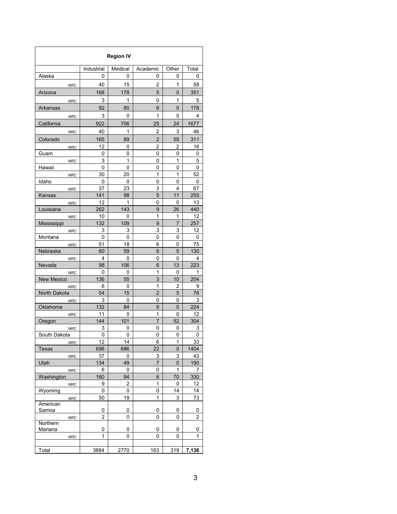|                           |                     | <b>Region IV</b>    |                     |                     |                |
|---------------------------|---------------------|---------------------|---------------------|---------------------|----------------|
| Alaska                    | Industrial          | Medical             | Academic            | Other               | Total          |
|                           | 0                   | 0                   | 0                   | $\mathbf 0$         | 0              |
| NRC                       | 40                  | 15                  | $\overline{2}$      | $\mathbf{1}$        | 58             |
| Arizona                   | 168                 | 178                 | $\overline{5}$      | $\overline{0}$      | 351            |
| <b>NRC</b>                | $\mathbf{3}$        | $\overline{1}$      | $\mathbf 0$         | $\mathbf{1}$        | $\overline{5}$ |
| Arkansas                  | 92                  | 80                  | $\,6\,$             | $\overline{0}$      | 178            |
| <b>NRC</b>                | $\mathsf 3$         | $\mathbf 0$         | $\mathbf{1}$        | $\mathbf 0$         | 4              |
| California                | 922                 | 706                 | 25                  | 24                  | 1677           |
| <b>NRC</b>                | 40                  | $\overline{1}$      | $\overline{2}$      | $\mathbf{3}$        | 46             |
| Colorado                  | 165                 | 89                  | $\sqrt{2}$          | 55                  | 311            |
| NRC                       | 12                  | $\overline{0}$      | $\overline{2}$      | $\overline{2}$      | 16             |
| Guam                      | $\mathsf{O}\xspace$ | $\pmb{0}$           | $\pmb{0}$           | $\mathbf 0$         | $\bf 0$        |
| NRC                       | $\mathbf{3}$        | $\mathbf{1}$        | $\mathbf 0$         | $\mathbf{1}$        | $\overline{5}$ |
| Hawaii                    | $\mathsf{O}\xspace$ | $\pmb{0}$           | $\pmb{0}$           | $\mathbf 0$         | $\pmb{0}$      |
| <b>NRC</b>                | $30\,$              | 20                  | $\mathbf{1}$        | $\mathbf{1}$        | 52             |
| Idaho                     | $\mathbf 0$         | $\mathbf 0$         | $\mathbf 0$         | $\mathbf 0$         | $\pmb{0}$      |
| <b>NRC</b>                | 37                  | 23                  | $\mathbf{3}$        | $\overline{4}$      | 67             |
| Kansas                    | 141                 | 98                  | $\overline{5}$      | 11                  | 255            |
| <b>NRC</b>                | 12                  | $\overline{1}$      | $\mathsf{O}\xspace$ | $\mathbf 0$         | 13             |
| Louisiana                 | 262                 | 143                 | $\boldsymbol{9}$    | 26                  | 440            |
|                           | 10                  | $\mathbf 0$         | $\mathbf{1}$        | $\overline{1}$      | 12             |
| <b>NRC</b><br>Mississippi | 132                 | 109                 | $\boldsymbol{9}$    | $\overline{7}$      | 257            |
| <b>NRC</b>                | $\overline{3}$      | $\mathbf{3}$        | $\mathbf{3}$        | 3 <sup>1</sup>      | 12             |
| Montana                   | $\mathsf{O}\xspace$ | $\mathsf{O}$        | $\pmb{0}$           | $\overline{0}$      | $\overline{0}$ |
| NRC                       | 51                  | 18                  | $6\phantom{a}$      | $\mathbf 0$         | 75             |
| Nebraska                  | 60                  | 59                  | $\,6\,$             | 5 <sub>5</sub>      | 130            |
| <b>NRC</b>                | $\overline{4}$      | $\mathsf{O}\xspace$ | $\mathsf{O}\xspace$ | $\mathbf 0$         | $\overline{4}$ |
| Nevada                    | 98                  | 106                 | $\,$ 6 $\,$         | 13                  | 223            |
| <b>NRC</b>                | $\mathbf 0$         | $\mathbf 0$         | $\mathbf{1}$        | $\mathsf{O}\xspace$ | $\overline{1}$ |
| New Mexico                | 136                 | 55                  | $\overline{3}$      | 10                  | 204            |
| <b>NRC</b>                | $6\phantom{.}6$     | $\mathbf 0$         | $\mathbf{1}$        | $\overline{2}$      | 9              |
| North Dakota              | 54                  | 15                  | $\overline{2}$      | 5 <sup>1</sup>      | 76             |
| <b>NRC</b>                | $\mathbf{3}$        | $\mathbf 0$         | $\pmb{0}$           | $\mathbf 0$         | $\mathbf{3}$   |
| Oklahoma                  | 132                 | 84                  | $\bf 8$             | $\overline{0}$      | 224            |
| <b>NRC</b>                | 11                  | $\mathbf 0$         | $\mathbf{1}$        | $\mathbf 0$         | 12             |
| Oregon                    | 144                 | $101$               | $\overline{7}$      | 52                  | 304            |
| ${\sf NRC}$               | $\mathbf{3}$        | $\mathbf 0$         | $\mathbf 0$         | $\mathbf 0$         | $\overline{3}$ |
| South Dakota              | $\mathsf{O}\xspace$ | $\mathbf 0$         | $\pmb{0}$           | $\mathbf 0$         | $\mathbf 0$    |
| <b>NRC</b>                | 12                  | 14                  | $\,6\,$             | $\mathbf{1}$        | 33             |
| Texas                     | 696                 | 686                 | 22                  | $\overline{0}$      | 1404           |
| NRC                       | $37\,$              | $\mathbf 0$         | $\mathfrak{Z}$      | 3 <sup>1</sup>      | 43             |
| Utah                      | 134                 | 49                  | $\overline{7}$      | $\overline{0}$      | 190            |
| <b>NRC</b>                | $\,6\,$             | $\mathsf 0$         | $\mathsf{O}\xspace$ | $\overline{1}$      | $\overline{7}$ |
| Washington                | 160                 | 94                  | $\,6\,$             | 70                  | 330            |
| <b>NRC</b>                | 9                   | $\overline{2}$      | $\mathbf{1}$        | $\overline{0}$      | 12             |
| Wyoming                   | $\mathbf 0$         | $\mathbf 0$         | $\mathbf 0$         | 14                  | 14             |
| <b>NRC</b><br>American    | 50                  | 19                  | $\mathbf{1}$        | $\mathbf{3}$        | 73             |
| Samoa                     | 0                   | 0                   | 0                   | 0                   | $\mathbf 0$    |
| NRC                       | $\overline{2}$      | $\mathbf 0$         | $\mathsf{O}\xspace$ | $\mathbf 0$         | $\overline{2}$ |
| Northern<br>Mariana       | $\bf{0}$            | $\mathbf 0$         | $\mathbf 0$         | 0                   | $\mathbf 0$    |
| NRC                       | $\mathbf{1}$        | $\pmb{0}$           | $\mathsf{O}\xspace$ | $\mathbf 0$         | $\mathbf{1}$   |
| Total                     | 3884                | 2770                | 163                 | 319                 | 7,136          |
|                           |                     |                     |                     |                     |                |
|                           |                     |                     |                     |                     | $\sqrt{3}$     |
|                           |                     |                     |                     |                     |                |